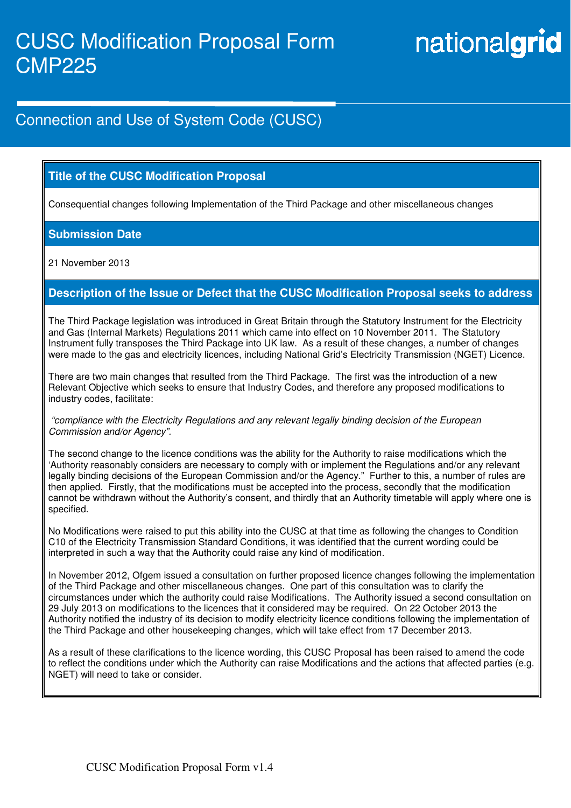# nationalgrid

## Connection and Use of System Code (CUSC)

#### **Title of the CUSC Modification Proposal**

Consequential changes following Implementation of the Third Package and other miscellaneous changes

#### **Submission Date**

21 November 2013

#### **Description of the Issue or Defect that the CUSC Modification Proposal seeks to address**

The Third Package legislation was introduced in Great Britain through the Statutory Instrument for the Electricity and Gas (Internal Markets) Regulations 2011 which came into effect on 10 November 2011. The Statutory Instrument fully transposes the Third Package into UK law. As a result of these changes, a number of changes were made to the gas and electricity licences, including National Grid's Electricity Transmission (NGET) Licence.

There are two main changes that resulted from the Third Package. The first was the introduction of a new Relevant Objective which seeks to ensure that Industry Codes, and therefore any proposed modifications to industry codes, facilitate:

#### "compliance with the Electricity Regulations and any relevant legally binding decision of the European Commission and/or Agency".

The second change to the licence conditions was the ability for the Authority to raise modifications which the 'Authority reasonably considers are necessary to comply with or implement the Regulations and/or any relevant legally binding decisions of the European Commission and/or the Agency." Further to this, a number of rules are then applied. Firstly, that the modifications must be accepted into the process, secondly that the modification cannot be withdrawn without the Authority's consent, and thirdly that an Authority timetable will apply where one is specified.

No Modifications were raised to put this ability into the CUSC at that time as following the changes to Condition C10 of the Electricity Transmission Standard Conditions, it was identified that the current wording could be interpreted in such a way that the Authority could raise any kind of modification.

In November 2012, Ofgem issued a consultation on further proposed licence changes following the implementation of the Third Package and other miscellaneous changes. One part of this consultation was to clarify the circumstances under which the authority could raise Modifications. The Authority issued a second consultation on 29 July 2013 on modifications to the licences that it considered may be required. On 22 October 2013 the Authority notified the industry of its decision to modify electricity licence conditions following the implementation of the Third Package and other housekeeping changes, which will take effect from 17 December 2013.

As a result of these clarifications to the licence wording, this CUSC Proposal has been raised to amend the code to reflect the conditions under which the Authority can raise Modifications and the actions that affected parties (e.g. NGET) will need to take or consider.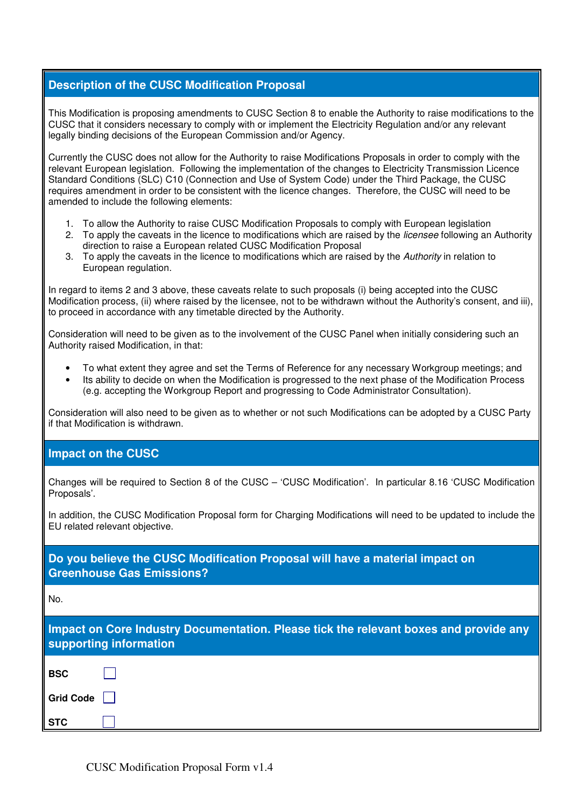#### **Description of the CUSC Modification Proposal**

This Modification is proposing amendments to CUSC Section 8 to enable the Authority to raise modifications to the CUSC that it considers necessary to comply with or implement the Electricity Regulation and/or any relevant legally binding decisions of the European Commission and/or Agency.

Currently the CUSC does not allow for the Authority to raise Modifications Proposals in order to comply with the relevant European legislation. Following the implementation of the changes to Electricity Transmission Licence Standard Conditions (SLC) C10 (Connection and Use of System Code) under the Third Package, the CUSC requires amendment in order to be consistent with the licence changes. Therefore, the CUSC will need to be amended to include the following elements:

- 1. To allow the Authority to raise CUSC Modification Proposals to comply with European legislation
- 2. To apply the caveats in the licence to modifications which are raised by the *licensee* following an Authority direction to raise a European related CUSC Modification Proposal
- 3. To apply the caveats in the licence to modifications which are raised by the Authority in relation to European regulation.

In regard to items 2 and 3 above, these caveats relate to such proposals (i) being accepted into the CUSC Modification process, (ii) where raised by the licensee, not to be withdrawn without the Authority's consent, and iii), to proceed in accordance with any timetable directed by the Authority.

Consideration will need to be given as to the involvement of the CUSC Panel when initially considering such an Authority raised Modification, in that:

- To what extent they agree and set the Terms of Reference for any necessary Workgroup meetings; and
- Its ability to decide on when the Modification is progressed to the next phase of the Modification Process (e.g. accepting the Workgroup Report and progressing to Code Administrator Consultation).

Consideration will also need to be given as to whether or not such Modifications can be adopted by a CUSC Party if that Modification is withdrawn.

#### **Impact on the CUSC**

Changes will be required to Section 8 of the CUSC – 'CUSC Modification'. In particular 8.16 'CUSC Modification Proposals'.

In addition, the CUSC Modification Proposal form for Charging Modifications will need to be updated to include the EU related relevant objective.

**Do you believe the CUSC Modification Proposal will have a material impact on Greenhouse Gas Emissions?** 

No.

|                        | Impact on Core Industry Documentation. Please tick the relevant boxes and provide any |  |
|------------------------|---------------------------------------------------------------------------------------|--|
| supporting information |                                                                                       |  |

| <b>BSC</b> |  |
|------------|--|
| Grid Code  |  |
| <b>STC</b> |  |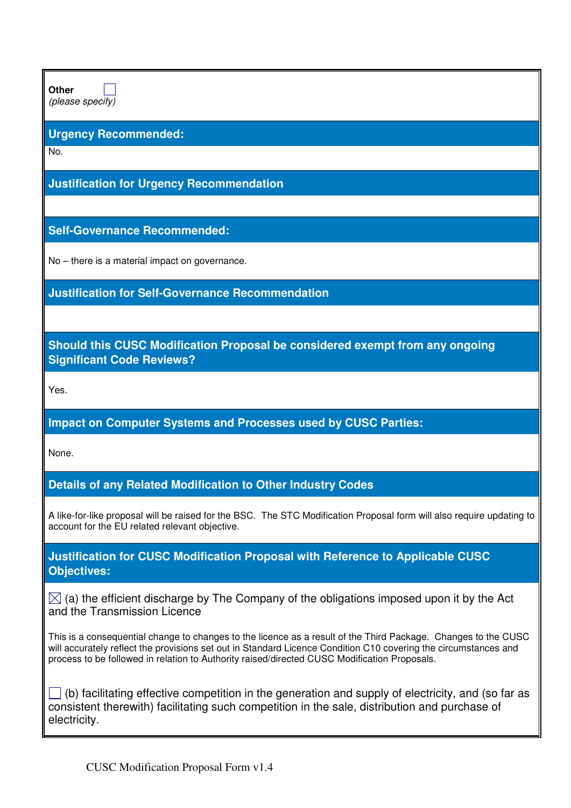**Other** 

(please specify)

#### **Urgency Recommended:**

No.

**Justification for Urgency Recommendation** 

**Self-Governance Recommended:** 

No – there is a material impact on governance.

**Justification for Self-Governance Recommendation** 

**Should this CUSC Modification Proposal be considered exempt from any ongoing Significant Code Reviews?** 

Yes.

### **Impact on Computer Systems and Processes used by CUSC Parties:**

None.

**Details of any Related Modification to Other Industry Codes** 

A like-for-like proposal will be raised for the BSC. The STC Modification Proposal form will also require updating to account for the EU related relevant objective.

**Justification for CUSC Modification Proposal with Reference to Applicable CUSC Objectives:** 

 $\boxtimes$  (a) the efficient discharge by The Company of the obligations imposed upon it by the Act and the Transmission Licence

This is a consequential change to changes to the licence as a result of the Third Package. Changes to the CUSC will accurately reflect the provisions set out in Standard Licence Condition C10 covering the circumstances and process to be followed in relation to Authority raised/directed CUSC Modification Proposals.

 $\Box$  (b) facilitating effective competition in the generation and supply of electricity, and (so far as consistent therewith) facilitating such competition in the sale, distribution and purchase of electricity.